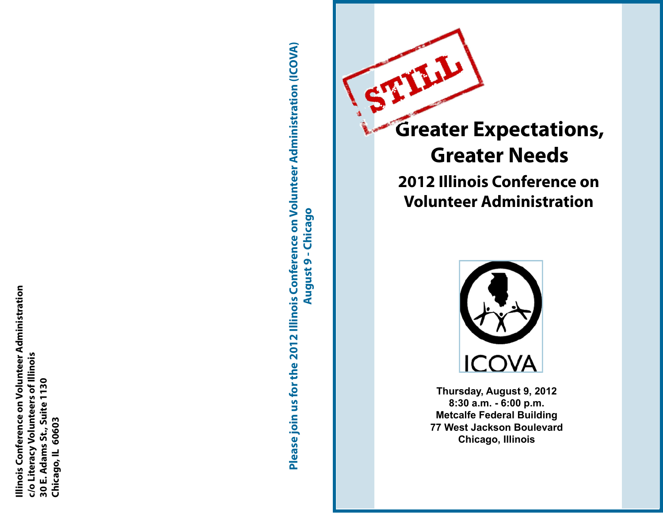Illinois Conference on Volunteer Administration **Illinois Conference on Volunteer Administration** c/o Literacy Volunteers of Illinois **c/o Literacy Volunteers of Illinois**  30 E. Adams St., Suite 1130 **30 E. Adams St., Suite 1130** Chicago, IL 60603 **Chicago, IL 60603** Please join us for the 2012 Illinois Conference on Volunteer Administration (ICOVA) **Please join us for the 2012 Illinois Conference on Volunteer Administration (ICOVA) August 9 - Chicago August 9 - Chicago**



# **Greater Expectations, Greater Needs 2012 Illinois Conference on Volunteer Administration**



**Thursday, August 9, 2012 8:30 a.m. - 6:00 p.m. Metcalfe Federal Building 77 West Jackson Boulevard Chicago, Illinois**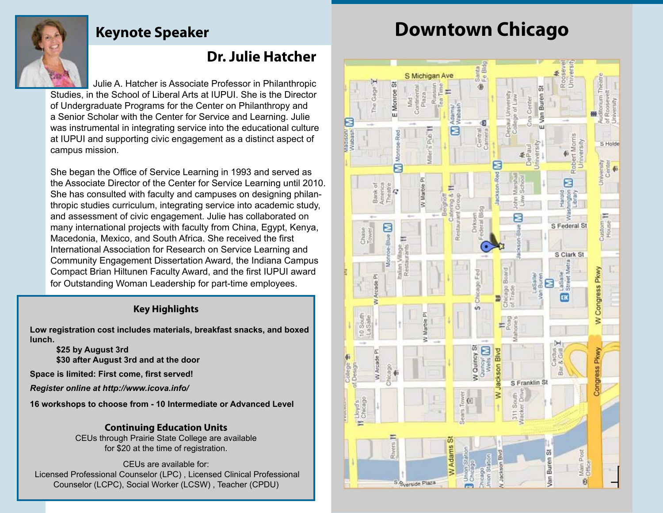## **Keynote Speaker**

# **Downtown Chicago**

## **Dr. Julie Hatcher**

 Julie A. Hatcher is Associate Professor in Philanthropic Studies, in the School of Liberal Arts at IUPUI. She is the Director of Undergraduate Programs for the Center on Philanthropy and a Senior Scholar with the Center for Service and Learning. Julie was instrumental in integrating service into the educational culture at IUPUI and supporting civic engagement as a distinct aspect of campus mission.

She began the Office of Service Learning in 1993 and served as the Associate Director of the Center for Service Learning until 2010. She has consulted with faculty and campuses on designing philanthropic studies curriculum, integrating service into academic study, and assessment of civic engagement. Julie has collaborated on many international projects with faculty from China, Egypt, Kenya, Macedonia, Mexico, and South Africa. She received the first International Association for Research on Service Learning and Community Engagement Dissertation Award, the Indiana Campus Compact Brian Hiltunen Faculty Award, and the first IUPUI award for Outstanding Woman Leadership for part-time employees.

### **Key Highlights**

**Low registration cost includes materials, breakfast snacks, and boxed lunch.**

**\$25 by August 3rd \$30 after August 3rd and at the door**

**Space is limited: First come, first served!** 

*Register online at http://www.icova.info/*

**16 workshops to choose from - 10 Intermediate or Advanced Level**

**Continuing Education Units**  CEUs through Prairie State College are available for \$20 at the time of registration.

CEUs are available for: Licensed Professional Counselor (LPC) , Licensed Clinical Professional Counselor (LCPC), Social Worker (LCSW) , Teacher (CPDU)

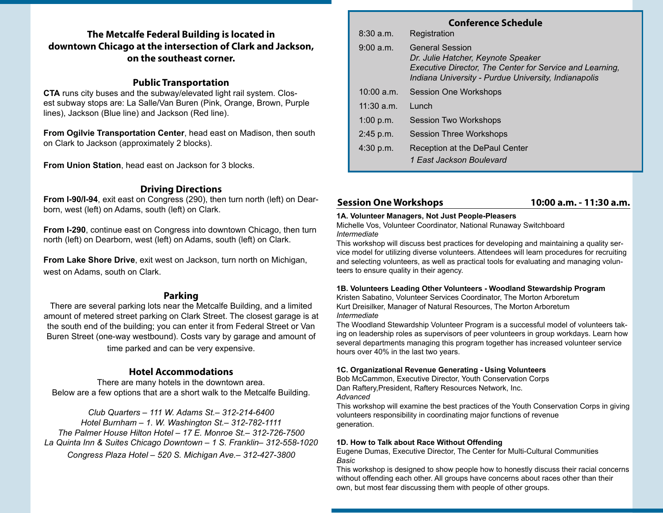### **The Metcalfe Federal Building is located in downtown Chicago at the intersection of Clark and Jackson, on the southeast corner.**

#### **Public Transportation**

**CTA** runs city buses and the subway/elevated light rail system. Closest subway stops are: La Salle/Van Buren (Pink, Orange, Brown, Purple lines), Jackson (Blue line) and Jackson (Red line).

**From Ogilvie Transportation Center**, head east on Madison, then south on Clark to Jackson (approximately 2 blocks).

**From Union Station**, head east on Jackson for 3 blocks.

#### **Driving Directions**

**From I-90/I-94**, exit east on Congress (290), then turn north (left) on Dearborn, west (left) on Adams, south (left) on Clark.

**From I-290**, continue east on Congress into downtown Chicago, then turn north (left) on Dearborn, west (left) on Adams, south (left) on Clark.

**From Lake Shore Drive**, exit west on Jackson, turn north on Michigan, west on Adams, south on Clark.

#### **Parking**

There are several parking lots near the Metcalfe Building, and a limited amount of metered street parking on Clark Street. The closest garage is at the south end of the building; you can enter it from Federal Street or Van Buren Street (one-way westbound). Costs vary by garage and amount of time parked and can be very expensive.

#### **Hotel Accommodations**

There are many hotels in the downtown area. Below are a few options that are a short walk to the Metcalfe Building.

*Club Quarters – 111 W. Adams St.– 312-214-6400 Hotel Burnham – 1. W. Washington St.– 312-782-1111 The Palmer House Hilton Hotel – 17 E. Monroe St.– 312-726-7500 La Quinta Inn & Suites Chicago Downtown – 1 S. Franklin– 312-558-1020 Congress Plaza Hotel – 520 S. Michigan Ave.– 312-427-3800*

| <b>Conference Schedule</b> |                                                                                                                                                                                  |
|----------------------------|----------------------------------------------------------------------------------------------------------------------------------------------------------------------------------|
| $8:30$ a.m.                | Registration                                                                                                                                                                     |
| 9:00 a.m.                  | <b>General Session</b><br>Dr. Julie Hatcher, Keynote Speaker<br>Executive Director, The Center for Service and Learning,<br>Indiana University - Purdue University, Indianapolis |
| $10:00$ a.m.               | Session One Workshops                                                                                                                                                            |
| $11:30$ a.m.               | Lunch                                                                                                                                                                            |
| $1:00$ p.m.                | Session Two Workshops                                                                                                                                                            |
| $2:45$ p.m.                | <b>Session Three Workshops</b>                                                                                                                                                   |
| 4:30 p.m.                  | Reception at the DePaul Center<br>1 East Jackson Boulevard                                                                                                                       |

#### **Session One Workshops 10:00 a.m. - 11:30 a.m.**

#### **1A. Volunteer Managers, Not Just People-Pleasers**

Michelle Vos, Volunteer Coordinator, National Runaway Switchboard *Intermediate*

This workshop will discuss best practices for developing and maintaining a quality service model for utilizing diverse volunteers. Attendees will learn procedures for recruiting and selecting volunteers, as well as practical tools for evaluating and managing volunteers to ensure quality in their agency.

#### **1B. Volunteers Leading Other Volunteers - Woodland Stewardship Program**

Kristen Sabatino, Volunteer Services Coordinator, The Morton Arboretum Kurt Dreisilker, Manager of Natural Resources, The Morton Arboretum *Intermediate*

The Woodland Stewardship Volunteer Program is a successful model of volunteers taking on leadership roles as supervisors of peer volunteers in group workdays. Learn how several departments managing this program together has increased volunteer service hours over 40% in the last two years.

#### **1C. Organizational Revenue Generating - Using Volunteers**

Bob McCammon, Executive Director, Youth Conservation Corps Dan Raftery,President, Raftery Resources Network, Inc. *Advanced*

This workshop will examine the best practices of the Youth Conservation Corps in giving volunteers responsibility in coordinating major functions of revenue generation.

#### **1D. How to Talk about Race Without Offending**

Eugene Dumas, Executive Director, The Center for Multi-Cultural Communities *Basic*

This workshop is designed to show people how to honestly discuss their racial concerns without offending each other. All groups have concerns about races other than their own, but most fear discussing them with people of other groups.